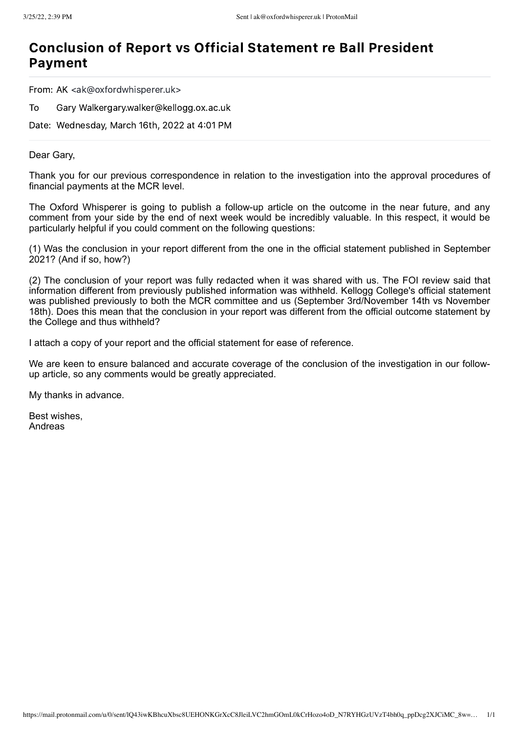### Conclusion of Report vs Official Statement re Ball President Payment

From: AK <ak@oxfordwhisperer.uk>

To Gary Walkergary.walker@kellogg.ox.ac.uk

Date: Wednesday, March 16th, 2022 at 4:01 PM

#### Dear Gary,

Thank you for our previous correspondence in relation to the investigation into the approval procedures of financial payments at the MCR level.

The Oxford Whisperer is going to publish a follow-up article on the outcome in the near future, and any comment from your side by the end of next week would be incredibly valuable. In this respect, it would be particularly helpful if you could comment on the following questions:

(1) Was the conclusion in your report different from the one in the official statement published in September 2021? (And if so, how?)

(2) The conclusion of your report was fully redacted when it was shared with us. The FOI review said that information different from previously published information was withheld. Kellogg College's official statement was published previously to both the MCR committee and us (September 3rd/November 14th vs November 18th). Does this mean that the conclusion in your report was different from the official outcome statement by the College and thus withheld?

I attach a copy of your report and the official statement for ease of reference.

We are keen to ensure balanced and accurate coverage of the conclusion of the investigation in our followup article, so any comments would be greatly appreciated.

My thanks in advance.

Best wishes, Andreas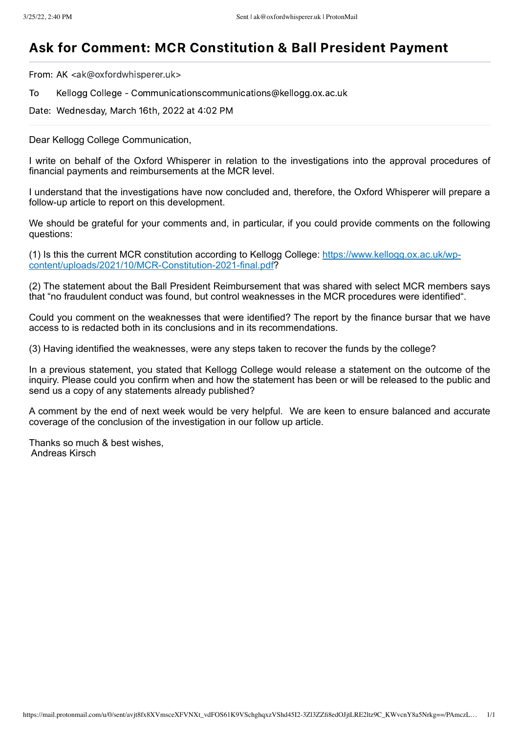# Ask for Comment: MCR Constitution & Ball President Payment

From: AK <ak@oxfordwhisperer.uk>

To Kellogg College - Communicationscommunications@kellogg.ox.ac.uk

Date: Wednesday, March 16th, 2022 at 4:02 PM

Dear Kellogg College Communication,

I write on behalf of the Oxford Whisperer in relation to the investigations into the approval procedures of financial payments and reimbursements at the MCR level.

I understand that the investigations have now concluded and, therefore, the Oxford Whisperer will prepare a follow-up article to report on this development.

We should be grateful for your comments and, in particular, if you could provide comments on the following questions:

(1) Is this the current MCR constitution according to Kellogg College: https://www.kellogg.ox.ac.uk/wpcontent/uploads/2021/10/MCR-Constitution-2021-final.pdf?

(2) The statement about the Ball President Reimbursement that was shared with select MCR members says that "no fraudulent conduct was found, but control weaknesses in the MCR procedures were identified".

Could you comment on the weaknesses that were identified? The report by the finance bursar that we have access to is redacted both in its conclusions and in its recommendations.

(3) Having identified the weaknesses, were any steps taken to recover the funds by the college?

In a previous statement, you stated that Kellogg College would release a statement on the outcome of the inquiry. Please could you confirm when and how the statement has been or will be released to the public and send us a copy of any statements already published?

A comment by the end of next week would be very helpful. We are keen to ensure balanced and accurate coverage of the conclusion of the investigation in our follow up article.

Thanks so much & best wishes, Andreas Kirsch